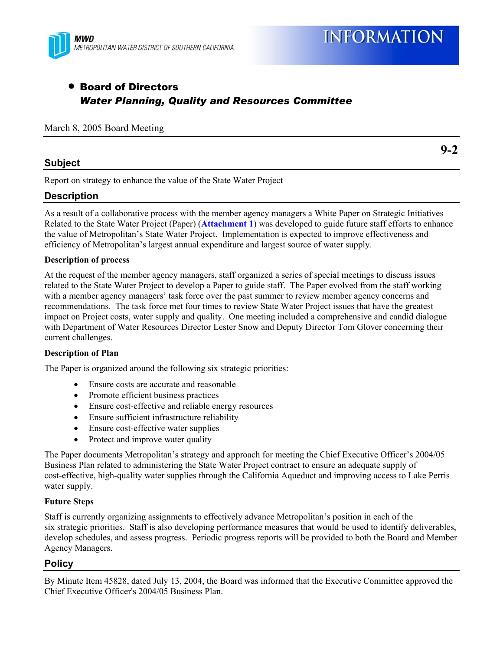

# • Board of Directors *Water Planning, Quality and Resources Committee*

#### March 8, 2005 Board Meeting

# **Subject**

Report on strategy to enhance the value of the State Water Project

# **Description**

As a result of a collaborative process with the member agency managers a White Paper on Strategic Initiatives Related to the State Water Project (Paper) (**Attachment 1**) was developed to guide future staff efforts to enhance the value of Metropolitan's State Water Project. Implementation is expected to improve effectiveness and efficiency of Metropolitan's largest annual expenditure and largest source of water supply.

#### **Description of process**

At the request of the member agency managers, staff organized a series of special meetings to discuss issues related to the State Water Project to develop a Paper to guide staff. The Paper evolved from the staff working with a member agency managers' task force over the past summer to review member agency concerns and recommendations. The task force met four times to review State Water Project issues that have the greatest impact on Project costs, water supply and quality. One meeting included a comprehensive and candid dialogue with Department of Water Resources Director Lester Snow and Deputy Director Tom Glover concerning their current challenges.

#### **Description of Plan**

The Paper is organized around the following six strategic priorities:

- Ensure costs are accurate and reasonable
- Promote efficient business practices
- Ensure cost-effective and reliable energy resources
- Ensure sufficient infrastructure reliability
- Ensure cost-effective water supplies
- Protect and improve water quality

The Paper documents Metropolitan's strategy and approach for meeting the Chief Executive Officer's 2004/05 Business Plan related to administering the State Water Project contract to ensure an adequate supply of cost-effective, high-quality water supplies through the California Aqueduct and improving access to Lake Perris water supply.

#### **Future Steps**

Staff is currently organizing assignments to effectively advance Metropolitan's position in each of the six strategic priorities. Staff is also developing performance measures that would be used to identify deliverables, develop schedules, and assess progress. Periodic progress reports will be provided to both the Board and Member Agency Managers.

# **Policy**

By Minute Item 45828, dated July 13, 2004, the Board was informed that the Executive Committee approved the Chief Executive Officer's 2004/05 Business Plan.

**9-2**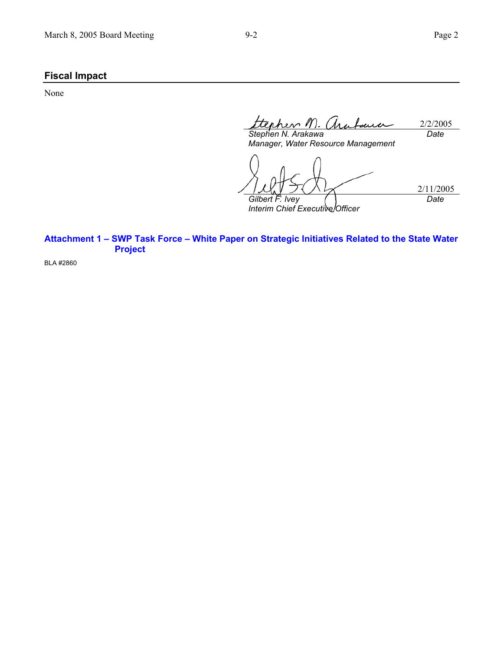# **Fiscal Impact**

None

2/2/2005 *Stephen N. Arakawa Date* 

*Manager, Water Resource Management* 

2/11/2005 *Gilbert F. Ivey Interim Chief Executive Officer Date* 

**Attachment 1 – SWP Task Force – White Paper on Strategic Initiatives Related to the State Water Project** 

BLA #2860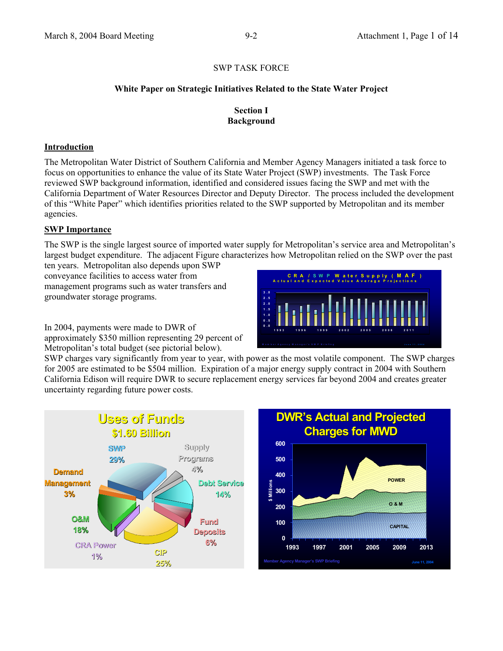## **White Paper on Strategic Initiatives Related to the State Water Project**

## **Section I Background**

## **Introduction**

The Metropolitan Water District of Southern California and Member Agency Managers initiated a task force to focus on opportunities to enhance the value of its State Water Project (SWP) investments. The Task Force reviewed SWP background information, identified and considered issues facing the SWP and met with the California Department of Water Resources Director and Deputy Director. The process included the development of this "White Paper" which identifies priorities related to the SWP supported by Metropolitan and its member agencies.

## **SWP Importance**

The SWP is the single largest source of imported water supply for Metropolitan's service area and Metropolitan's largest budget expenditure. The adjacent Figure characterizes how Metropolitan relied on the SWP over the past

ten years. Metropolitan also depends upon SWP conveyance facilities to access water from management programs such as water transfers and groundwater storage programs.



In 2004, payments were made to DWR of approximately \$350 million representing 29 percent of Metropolitan's total budget (see pictorial below).

SWP charges vary significantly from year to year, with power as the most volatile component. The SWP charges for 2005 are estimated to be \$504 million. Expiration of a major energy supply contract in 2004 with Southern California Edison will require DWR to secure replacement energy services far beyond 2004 and creates greater uncertainty regarding future power costs.



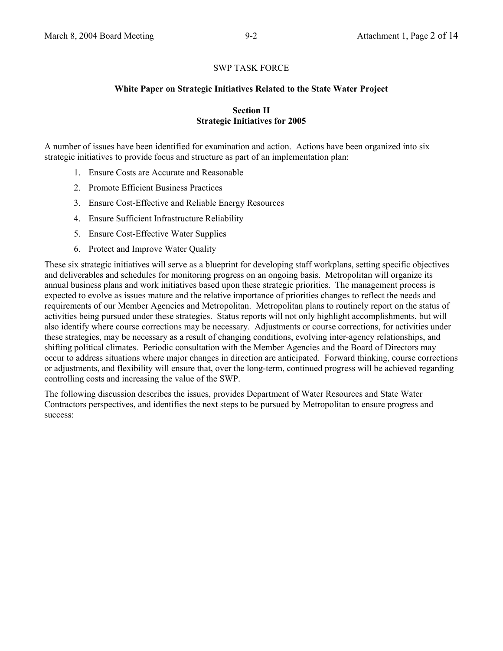#### **White Paper on Strategic Initiatives Related to the State Water Project**

#### **Section II Strategic Initiatives for 2005**

A number of issues have been identified for examination and action. Actions have been organized into six strategic initiatives to provide focus and structure as part of an implementation plan:

- 1. Ensure Costs are Accurate and Reasonable
- 2. Promote Efficient Business Practices
- 3. Ensure Cost-Effective and Reliable Energy Resources
- 4. Ensure Sufficient Infrastructure Reliability
- 5. Ensure Cost-Effective Water Supplies
- 6. Protect and Improve Water Quality

These six strategic initiatives will serve as a blueprint for developing staff workplans, setting specific objectives and deliverables and schedules for monitoring progress on an ongoing basis. Metropolitan will organize its annual business plans and work initiatives based upon these strategic priorities. The management process is expected to evolve as issues mature and the relative importance of priorities changes to reflect the needs and requirements of our Member Agencies and Metropolitan. Metropolitan plans to routinely report on the status of activities being pursued under these strategies. Status reports will not only highlight accomplishments, but will also identify where course corrections may be necessary. Adjustments or course corrections, for activities under these strategies, may be necessary as a result of changing conditions, evolving inter-agency relationships, and shifting political climates. Periodic consultation with the Member Agencies and the Board of Directors may occur to address situations where major changes in direction are anticipated. Forward thinking, course corrections or adjustments, and flexibility will ensure that, over the long-term, continued progress will be achieved regarding controlling costs and increasing the value of the SWP.

The following discussion describes the issues, provides Department of Water Resources and State Water Contractors perspectives, and identifies the next steps to be pursued by Metropolitan to ensure progress and success: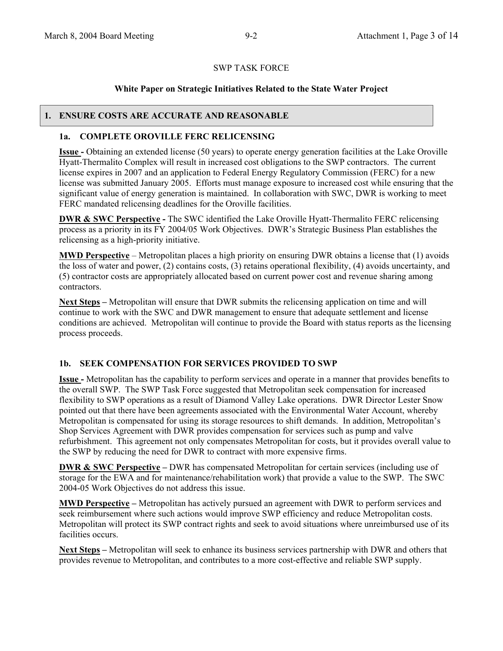#### **White Paper on Strategic Initiatives Related to the State Water Project**

#### **1. ENSURE COSTS ARE ACCURATE AND REASONABLE**

## **1a. COMPLETE OROVILLE FERC RELICENSING**

**Issue -** Obtaining an extended license (50 years) to operate energy generation facilities at the Lake Oroville Hyatt-Thermalito Complex will result in increased cost obligations to the SWP contractors. The current license expires in 2007 and an application to Federal Energy Regulatory Commission (FERC) for a new license was submitted January 2005. Efforts must manage exposure to increased cost while ensuring that the significant value of energy generation is maintained. In collaboration with SWC, DWR is working to meet FERC mandated relicensing deadlines for the Oroville facilities.

**DWR & SWC Perspective - The SWC identified the Lake Oroville Hyatt-Thermalito FERC relicensing** process as a priority in its FY 2004/05 Work Objectives. DWR's Strategic Business Plan establishes the relicensing as a high-priority initiative.

**MWD Perspective** – Metropolitan places a high priority on ensuring DWR obtains a license that (1) avoids the loss of water and power, (2) contains costs, (3) retains operational flexibility, (4) avoids uncertainty, and (5) contractor costs are appropriately allocated based on current power cost and revenue sharing among contractors.

**Next Steps –** Metropolitan will ensure that DWR submits the relicensing application on time and will continue to work with the SWC and DWR management to ensure that adequate settlement and license conditions are achieved. Metropolitan will continue to provide the Board with status reports as the licensing process proceeds.

# **1b. SEEK COMPENSATION FOR SERVICES PROVIDED TO SWP**

**Issue -** Metropolitan has the capability to perform services and operate in a manner that provides benefits to the overall SWP. The SWP Task Force suggested that Metropolitan seek compensation for increased flexibility to SWP operations as a result of Diamond Valley Lake operations. DWR Director Lester Snow pointed out that there have been agreements associated with the Environmental Water Account, whereby Metropolitan is compensated for using its storage resources to shift demands. In addition, Metropolitan's Shop Services Agreement with DWR provides compensation for services such as pump and valve refurbishment. This agreement not only compensates Metropolitan for costs, but it provides overall value to the SWP by reducing the need for DWR to contract with more expensive firms.

**DWR & SWC Perspective – DWR** has compensated Metropolitan for certain services (including use of storage for the EWA and for maintenance/rehabilitation work) that provide a value to the SWP. The SWC 2004-05 Work Objectives do not address this issue.

**MWD Perspective –** Metropolitan has actively pursued an agreement with DWR to perform services and seek reimbursement where such actions would improve SWP efficiency and reduce Metropolitan costs. Metropolitan will protect its SWP contract rights and seek to avoid situations where unreimbursed use of its facilities occurs.

**Next Steps –** Metropolitan will seek to enhance its business services partnership with DWR and others that provides revenue to Metropolitan, and contributes to a more cost-effective and reliable SWP supply.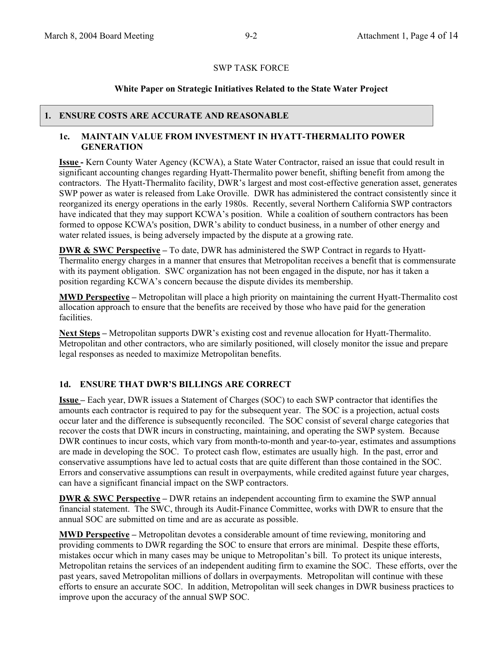# **White Paper on Strategic Initiatives Related to the State Water Project**

#### **1. ENSURE COSTS ARE ACCURATE AND REASONABLE**

## **1c. MAINTAIN VALUE FROM INVESTMENT IN HYATT-THERMALITO POWER GENERATION**

**Issue -** Kern County Water Agency (KCWA), a State Water Contractor, raised an issue that could result in significant accounting changes regarding Hyatt-Thermalito power benefit, shifting benefit from among the contractors. The Hyatt-Thermalito facility, DWR's largest and most cost-effective generation asset, generates SWP power as water is released from Lake Oroville. DWR has administered the contract consistently since it reorganized its energy operations in the early 1980s. Recently, several Northern California SWP contractors have indicated that they may support KCWA's position. While a coalition of southern contractors has been formed to oppose KCWA's position, DWR's ability to conduct business, in a number of other energy and water related issues, is being adversely impacted by the dispute at a growing rate.

**DWR & SWC Perspective –** To date, DWR has administered the SWP Contract in regards to Hyatt-Thermalito energy charges in a manner that ensures that Metropolitan receives a benefit that is commensurate with its payment obligation. SWC organization has not been engaged in the dispute, nor has it taken a position regarding KCWA's concern because the dispute divides its membership.

**MWD Perspective –** Metropolitan will place a high priority on maintaining the current Hyatt-Thermalito cost allocation approach to ensure that the benefits are received by those who have paid for the generation facilities.

**Next Steps –** Metropolitan supports DWR's existing cost and revenue allocation for Hyatt-Thermalito. Metropolitan and other contractors, who are similarly positioned, will closely monitor the issue and prepare legal responses as needed to maximize Metropolitan benefits.

# **1d. ENSURE THAT DWR'S BILLINGS ARE CORRECT**

**Issue –** Each year, DWR issues a Statement of Charges (SOC) to each SWP contractor that identifies the amounts each contractor is required to pay for the subsequent year. The SOC is a projection, actual costs occur later and the difference is subsequently reconciled. The SOC consist of several charge categories that recover the costs that DWR incurs in constructing, maintaining, and operating the SWP system. Because DWR continues to incur costs, which vary from month-to-month and year-to-year, estimates and assumptions are made in developing the SOC. To protect cash flow, estimates are usually high. In the past, error and conservative assumptions have led to actual costs that are quite different than those contained in the SOC. Errors and conservative assumptions can result in overpayments, while credited against future year charges, can have a significant financial impact on the SWP contractors.

**DWR & SWC Perspective** – DWR retains an independent accounting firm to examine the SWP annual financial statement. The SWC, through its Audit-Finance Committee, works with DWR to ensure that the annual SOC are submitted on time and are as accurate as possible.

**MWD Perspective –** Metropolitan devotes a considerable amount of time reviewing, monitoring and providing comments to DWR regarding the SOC to ensure that errors are minimal. Despite these efforts, mistakes occur which in many cases may be unique to Metropolitan's bill. To protect its unique interests, Metropolitan retains the services of an independent auditing firm to examine the SOC. These efforts, over the past years, saved Metropolitan millions of dollars in overpayments. Metropolitan will continue with these efforts to ensure an accurate SOC. In addition, Metropolitan will seek changes in DWR business practices to improve upon the accuracy of the annual SWP SOC.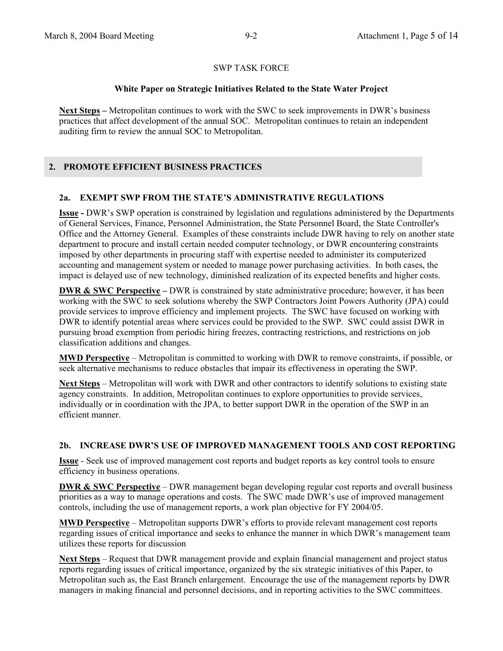## **White Paper on Strategic Initiatives Related to the State Water Project**

**Next Steps –** Metropolitan continues to work with the SWC to seek improvements in DWR's business practices that affect development of the annual SOC. Metropolitan continues to retain an independent auditing firm to review the annual SOC to Metropolitan.

# **2. PROMOTE EFFICIENT BUSINESS PRACTICES**

# **2a. EXEMPT SWP FROM THE STATE'S ADMINISTRATIVE REGULATIONS**

**Issue -** DWR's SWP operation is constrained by legislation and regulations administered by the Departments of General Services, Finance, Personnel Administration, the State Personnel Board, the State Controller's Office and the Attorney General. Examples of these constraints include DWR having to rely on another state department to procure and install certain needed computer technology, or DWR encountering constraints imposed by other departments in procuring staff with expertise needed to administer its computerized accounting and management system or needed to manage power purchasing activities. In both cases, the impact is delayed use of new technology, diminished realization of its expected benefits and higher costs.

**DWR & SWC Perspective – DWR** is constrained by state administrative procedure; however, it has been working with the SWC to seek solutions whereby the SWP Contractors Joint Powers Authority (JPA) could provide services to improve efficiency and implement projects. The SWC have focused on working with DWR to identify potential areas where services could be provided to the SWP. SWC could assist DWR in pursuing broad exemption from periodic hiring freezes, contracting restrictions, and restrictions on job classification additions and changes.

**MWD Perspective** – Metropolitan is committed to working with DWR to remove constraints, if possible, or seek alternative mechanisms to reduce obstacles that impair its effectiveness in operating the SWP.

**Next Steps** – Metropolitan will work with DWR and other contractors to identify solutions to existing state agency constraints. In addition, Metropolitan continues to explore opportunities to provide services, individually or in coordination with the JPA, to better support DWR in the operation of the SWP in an efficient manner.

# **2b. INCREASE DWR'S USE OF IMPROVED MANAGEMENT TOOLS AND COST REPORTING**

**Issue** - Seek use of improved management cost reports and budget reports as key control tools to ensure efficiency in business operations.

**DWR & SWC Perspective** – DWR management began developing regular cost reports and overall business priorities as a way to manage operations and costs. The SWC made DWR's use of improved management controls, including the use of management reports, a work plan objective for FY 2004/05.

**MWD Perspective** – Metropolitan supports DWR's efforts to provide relevant management cost reports regarding issues of critical importance and seeks to enhance the manner in which DWR's management team utilizes these reports for discussion

**Next Steps** – Request that DWR management provide and explain financial management and project status reports regarding issues of critical importance, organized by the six strategic initiatives of this Paper, to Metropolitan such as, the East Branch enlargement. Encourage the use of the management reports by DWR managers in making financial and personnel decisions, and in reporting activities to the SWC committees.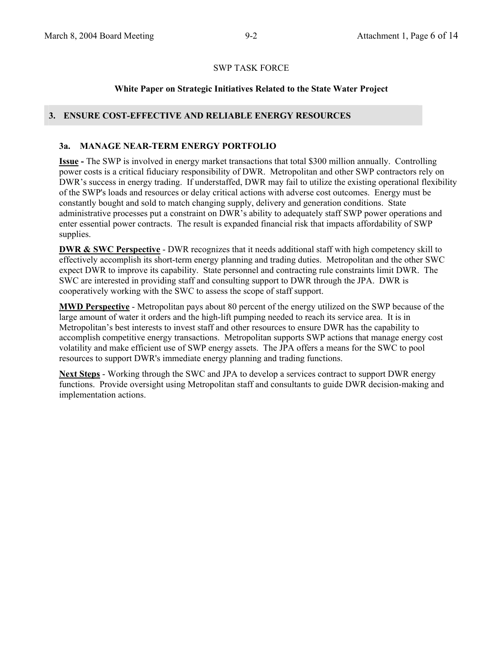## **White Paper on Strategic Initiatives Related to the State Water Project**

## **3. ENSURE COST-EFFECTIVE AND RELIABLE ENERGY RESOURCES**

#### **3a. MANAGE NEAR-TERM ENERGY PORTFOLIO**

**Issue -** The SWP is involved in energy market transactions that total \$300 million annually. Controlling power costs is a critical fiduciary responsibility of DWR. Metropolitan and other SWP contractors rely on DWR's success in energy trading. If understaffed, DWR may fail to utilize the existing operational flexibility of the SWP's loads and resources or delay critical actions with adverse cost outcomes. Energy must be constantly bought and sold to match changing supply, delivery and generation conditions. State administrative processes put a constraint on DWR's ability to adequately staff SWP power operations and enter essential power contracts. The result is expanded financial risk that impacts affordability of SWP supplies.

**DWR & SWC Perspective** - DWR recognizes that it needs additional staff with high competency skill to effectively accomplish its short-term energy planning and trading duties. Metropolitan and the other SWC expect DWR to improve its capability. State personnel and contracting rule constraints limit DWR. The SWC are interested in providing staff and consulting support to DWR through the JPA. DWR is cooperatively working with the SWC to assess the scope of staff support.

**MWD Perspective** - Metropolitan pays about 80 percent of the energy utilized on the SWP because of the large amount of water it orders and the high-lift pumping needed to reach its service area. It is in Metropolitan's best interests to invest staff and other resources to ensure DWR has the capability to accomplish competitive energy transactions. Metropolitan supports SWP actions that manage energy cost volatility and make efficient use of SWP energy assets. The JPA offers a means for the SWC to pool resources to support DWR's immediate energy planning and trading functions.

**Next Steps** - Working through the SWC and JPA to develop a services contract to support DWR energy functions. Provide oversight using Metropolitan staff and consultants to guide DWR decision-making and implementation actions.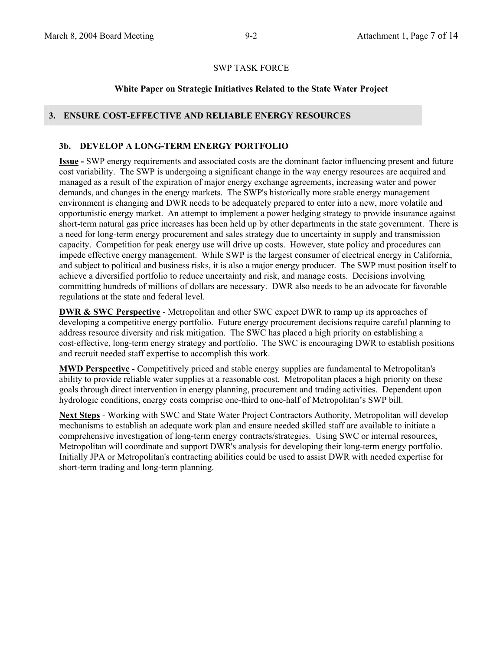#### **White Paper on Strategic Initiatives Related to the State Water Project**

## **3. ENSURE COST-EFFECTIVE AND RELIABLE ENERGY RESOURCES**

#### **3b. DEVELOP A LONG-TERM ENERGY PORTFOLIO**

**Issue -** SWP energy requirements and associated costs are the dominant factor influencing present and future cost variability. The SWP is undergoing a significant change in the way energy resources are acquired and managed as a result of the expiration of major energy exchange agreements, increasing water and power demands, and changes in the energy markets. The SWP's historically more stable energy management environment is changing and DWR needs to be adequately prepared to enter into a new, more volatile and opportunistic energy market. An attempt to implement a power hedging strategy to provide insurance against short-term natural gas price increases has been held up by other departments in the state government. There is a need for long-term energy procurement and sales strategy due to uncertainty in supply and transmission capacity. Competition for peak energy use will drive up costs. However, state policy and procedures can impede effective energy management. While SWP is the largest consumer of electrical energy in California, and subject to political and business risks, it is also a major energy producer. The SWP must position itself to achieve a diversified portfolio to reduce uncertainty and risk, and manage costs. Decisions involving committing hundreds of millions of dollars are necessary. DWR also needs to be an advocate for favorable regulations at the state and federal level.

**DWR & SWC Perspective** - Metropolitan and other SWC expect DWR to ramp up its approaches of developing a competitive energy portfolio. Future energy procurement decisions require careful planning to address resource diversity and risk mitigation. The SWC has placed a high priority on establishing a cost-effective, long-term energy strategy and portfolio. The SWC is encouraging DWR to establish positions and recruit needed staff expertise to accomplish this work.

**MWD Perspective** - Competitively priced and stable energy supplies are fundamental to Metropolitan's ability to provide reliable water supplies at a reasonable cost. Metropolitan places a high priority on these goals through direct intervention in energy planning, procurement and trading activities. Dependent upon hydrologic conditions, energy costs comprise one-third to one-half of Metropolitan's SWP bill.

**Next Steps** - Working with SWC and State Water Project Contractors Authority, Metropolitan will develop mechanisms to establish an adequate work plan and ensure needed skilled staff are available to initiate a comprehensive investigation of long-term energy contracts/strategies. Using SWC or internal resources, Metropolitan will coordinate and support DWR's analysis for developing their long-term energy portfolio. Initially JPA or Metropolitan's contracting abilities could be used to assist DWR with needed expertise for short-term trading and long-term planning.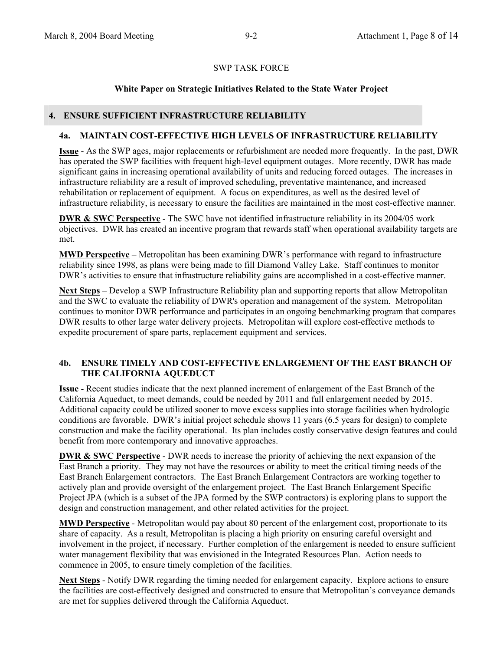# **White Paper on Strategic Initiatives Related to the State Water Project**

#### **4. ENSURE SUFFICIENT INFRASTRUCTURE RELIABILITY**

## **4a. MAINTAIN COST-EFFECTIVE HIGH LEVELS OF INFRASTRUCTURE RELIABILITY**

**Issue** - As the SWP ages, major replacements or refurbishment are needed more frequently. In the past, DWR has operated the SWP facilities with frequent high-level equipment outages. More recently, DWR has made significant gains in increasing operational availability of units and reducing forced outages. The increases in infrastructure reliability are a result of improved scheduling, preventative maintenance, and increased rehabilitation or replacement of equipment. A focus on expenditures, as well as the desired level of infrastructure reliability, is necessary to ensure the facilities are maintained in the most cost-effective manner.

**DWR & SWC Perspective** - The SWC have not identified infrastructure reliability in its 2004/05 work objectives. DWR has created an incentive program that rewards staff when operational availability targets are met.

**MWD Perspective** – Metropolitan has been examining DWR's performance with regard to infrastructure reliability since 1998, as plans were being made to fill Diamond Valley Lake. Staff continues to monitor DWR's activities to ensure that infrastructure reliability gains are accomplished in a cost-effective manner.

**Next Steps** – Develop a SWP Infrastructure Reliability plan and supporting reports that allow Metropolitan and the SWC to evaluate the reliability of DWR's operation and management of the system. Metropolitan continues to monitor DWR performance and participates in an ongoing benchmarking program that compares DWR results to other large water delivery projects. Metropolitan will explore cost-effective methods to expedite procurement of spare parts, replacement equipment and services.

## **4b. ENSURE TIMELY AND COST-EFFECTIVE ENLARGEMENT OF THE EAST BRANCH OF THE CALIFORNIA AQUEDUCT**

**Issue** - Recent studies indicate that the next planned increment of enlargement of the East Branch of the California Aqueduct, to meet demands, could be needed by 2011 and full enlargement needed by 2015. Additional capacity could be utilized sooner to move excess supplies into storage facilities when hydrologic conditions are favorable. DWR's initial project schedule shows 11 years (6.5 years for design) to complete construction and make the facility operational. Its plan includes costly conservative design features and could benefit from more contemporary and innovative approaches.

**DWR & SWC Perspective** - DWR needs to increase the priority of achieving the next expansion of the East Branch a priority. They may not have the resources or ability to meet the critical timing needs of the East Branch Enlargement contractors. The East Branch Enlargement Contractors are working together to actively plan and provide oversight of the enlargement project. The East Branch Enlargement Specific Project JPA (which is a subset of the JPA formed by the SWP contractors) is exploring plans to support the design and construction management, and other related activities for the project.

**MWD Perspective** - Metropolitan would pay about 80 percent of the enlargement cost, proportionate to its share of capacity. As a result, Metropolitan is placing a high priority on ensuring careful oversight and involvement in the project, if necessary. Further completion of the enlargement is needed to ensure sufficient water management flexibility that was envisioned in the Integrated Resources Plan. Action needs to commence in 2005, to ensure timely completion of the facilities.

**Next Steps** - Notify DWR regarding the timing needed for enlargement capacity. Explore actions to ensure the facilities are cost-effectively designed and constructed to ensure that Metropolitan's conveyance demands are met for supplies delivered through the California Aqueduct.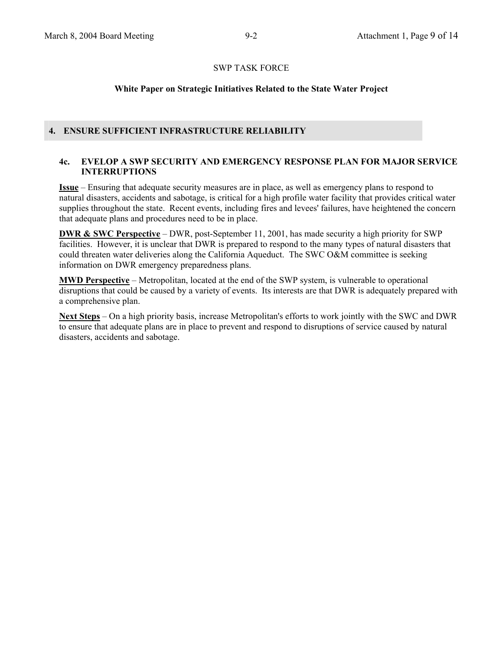## **White Paper on Strategic Initiatives Related to the State Water Project**

## **4. ENSURE SUFFICIENT INFRASTRUCTURE RELIABILITY**

#### **4c. EVELOP A SWP SECURITY AND EMERGENCY RESPONSE PLAN FOR MAJOR SERVICE INTERRUPTIONS**

**Issue** – Ensuring that adequate security measures are in place, as well as emergency plans to respond to natural disasters, accidents and sabotage, is critical for a high profile water facility that provides critical water supplies throughout the state. Recent events, including fires and levees' failures, have heightened the concern that adequate plans and procedures need to be in place.

**DWR & SWC Perspective** – DWR, post-September 11, 2001, has made security a high priority for SWP facilities. However, it is unclear that DWR is prepared to respond to the many types of natural disasters that could threaten water deliveries along the California Aqueduct. The SWC O&M committee is seeking information on DWR emergency preparedness plans.

**MWD Perspective** – Metropolitan, located at the end of the SWP system, is vulnerable to operational disruptions that could be caused by a variety of events. Its interests are that DWR is adequately prepared with a comprehensive plan.

**Next Steps** – On a high priority basis, increase Metropolitan's efforts to work jointly with the SWC and DWR to ensure that adequate plans are in place to prevent and respond to disruptions of service caused by natural disasters, accidents and sabotage.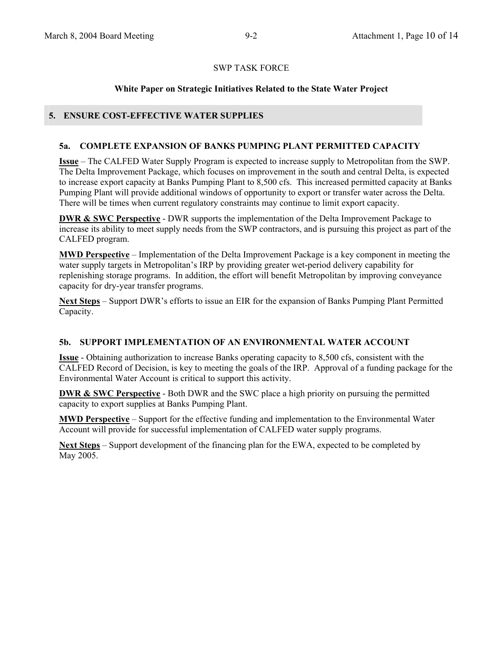## **White Paper on Strategic Initiatives Related to the State Water Project**

## **5. ENSURE COST-EFFECTIVE WATER SUPPLIES**

#### **5a. COMPLETE EXPANSION OF BANKS PUMPING PLANT PERMITTED CAPACITY**

**Issue** – The CALFED Water Supply Program is expected to increase supply to Metropolitan from the SWP. The Delta Improvement Package, which focuses on improvement in the south and central Delta, is expected to increase export capacity at Banks Pumping Plant to 8,500 cfs. This increased permitted capacity at Banks Pumping Plant will provide additional windows of opportunity to export or transfer water across the Delta. There will be times when current regulatory constraints may continue to limit export capacity.

**DWR & SWC Perspective** - DWR supports the implementation of the Delta Improvement Package to increase its ability to meet supply needs from the SWP contractors, and is pursuing this project as part of the CALFED program.

**MWD Perspective** – Implementation of the Delta Improvement Package is a key component in meeting the water supply targets in Metropolitan's IRP by providing greater wet-period delivery capability for replenishing storage programs. In addition, the effort will benefit Metropolitan by improving conveyance capacity for dry-year transfer programs.

**Next Steps** – Support DWR's efforts to issue an EIR for the expansion of Banks Pumping Plant Permitted Capacity.

#### **5b. SUPPORT IMPLEMENTATION OF AN ENVIRONMENTAL WATER ACCOUNT**

**Issue** - Obtaining authorization to increase Banks operating capacity to 8,500 cfs, consistent with the CALFED Record of Decision, is key to meeting the goals of the IRP. Approval of a funding package for the Environmental Water Account is critical to support this activity.

**DWR & SWC Perspective** - Both DWR and the SWC place a high priority on pursuing the permitted capacity to export supplies at Banks Pumping Plant.

**MWD Perspective** – Support for the effective funding and implementation to the Environmental Water Account will provide for successful implementation of CALFED water supply programs.

**Next Steps** – Support development of the financing plan for the EWA, expected to be completed by May 2005.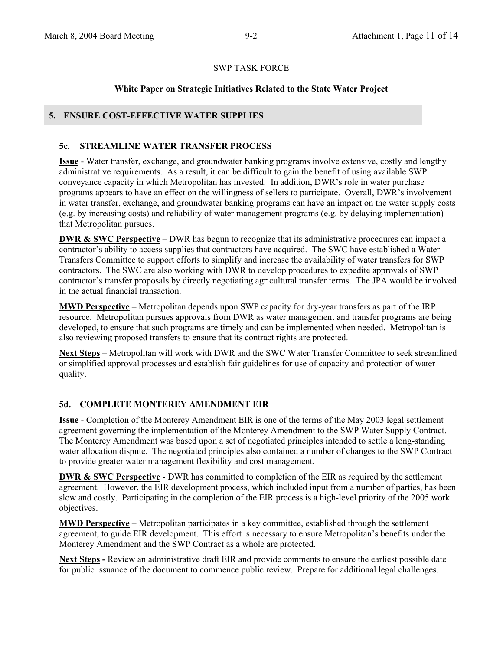## **White Paper on Strategic Initiatives Related to the State Water Project**

## **5. ENSURE COST-EFFECTIVE WATER SUPPLIES**

#### **5c. STREAMLINE WATER TRANSFER PROCESS**

**Issue** - Water transfer, exchange, and groundwater banking programs involve extensive, costly and lengthy administrative requirements. As a result, it can be difficult to gain the benefit of using available SWP conveyance capacity in which Metropolitan has invested. In addition, DWR's role in water purchase programs appears to have an effect on the willingness of sellers to participate. Overall, DWR's involvement in water transfer, exchange, and groundwater banking programs can have an impact on the water supply costs (e.g. by increasing costs) and reliability of water management programs (e.g. by delaying implementation) that Metropolitan pursues.

**DWR & SWC Perspective** – DWR has begun to recognize that its administrative procedures can impact a contractor's ability to access supplies that contractors have acquired. The SWC have established a Water Transfers Committee to support efforts to simplify and increase the availability of water transfers for SWP contractors. The SWC are also working with DWR to develop procedures to expedite approvals of SWP contractor's transfer proposals by directly negotiating agricultural transfer terms. The JPA would be involved in the actual financial transaction.

**MWD Perspective** – Metropolitan depends upon SWP capacity for dry-year transfers as part of the IRP resource. Metropolitan pursues approvals from DWR as water management and transfer programs are being developed, to ensure that such programs are timely and can be implemented when needed. Metropolitan is also reviewing proposed transfers to ensure that its contract rights are protected.

**Next Steps** – Metropolitan will work with DWR and the SWC Water Transfer Committee to seek streamlined or simplified approval processes and establish fair guidelines for use of capacity and protection of water quality.

#### **5d. COMPLETE MONTEREY AMENDMENT EIR**

**Issue** - Completion of the Monterey Amendment EIR is one of the terms of the May 2003 legal settlement agreement governing the implementation of the Monterey Amendment to the SWP Water Supply Contract. The Monterey Amendment was based upon a set of negotiated principles intended to settle a long-standing water allocation dispute. The negotiated principles also contained a number of changes to the SWP Contract to provide greater water management flexibility and cost management.

**DWR & SWC Perspective** - DWR has committed to completion of the EIR as required by the settlement agreement. However, the EIR development process, which included input from a number of parties, has been slow and costly. Participating in the completion of the EIR process is a high-level priority of the 2005 work objectives.

**MWD Perspective** – Metropolitan participates in a key committee, established through the settlement agreement, to guide EIR development. This effort is necessary to ensure Metropolitan's benefits under the Monterey Amendment and the SWP Contract as a whole are protected.

Next Steps - Review an administrative draft EIR and provide comments to ensure the earliest possible date for public issuance of the document to commence public review. Prepare for additional legal challenges.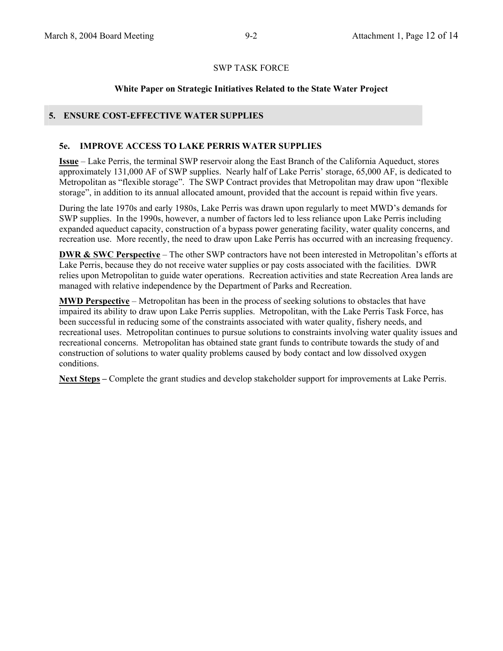# **White Paper on Strategic Initiatives Related to the State Water Project**

## **5. ENSURE COST-EFFECTIVE WATER SUPPLIES**

#### **5e. IMPROVE ACCESS TO LAKE PERRIS WATER SUPPLIES**

**Issue** – Lake Perris, the terminal SWP reservoir along the East Branch of the California Aqueduct, stores approximately 131,000 AF of SWP supplies. Nearly half of Lake Perris' storage, 65,000 AF, is dedicated to Metropolitan as "flexible storage". The SWP Contract provides that Metropolitan may draw upon "flexible storage", in addition to its annual allocated amount, provided that the account is repaid within five years.

During the late 1970s and early 1980s, Lake Perris was drawn upon regularly to meet MWD's demands for SWP supplies. In the 1990s, however, a number of factors led to less reliance upon Lake Perris including expanded aqueduct capacity, construction of a bypass power generating facility, water quality concerns, and recreation use. More recently, the need to draw upon Lake Perris has occurred with an increasing frequency.

**DWR & SWC Perspective** – The other SWP contractors have not been interested in Metropolitan's efforts at Lake Perris, because they do not receive water supplies or pay costs associated with the facilities. DWR relies upon Metropolitan to guide water operations. Recreation activities and state Recreation Area lands are managed with relative independence by the Department of Parks and Recreation.

**MWD Perspective** – Metropolitan has been in the process of seeking solutions to obstacles that have impaired its ability to draw upon Lake Perris supplies. Metropolitan, with the Lake Perris Task Force, has been successful in reducing some of the constraints associated with water quality, fishery needs, and recreational uses. Metropolitan continues to pursue solutions to constraints involving water quality issues and recreational concerns. Metropolitan has obtained state grant funds to contribute towards the study of and construction of solutions to water quality problems caused by body contact and low dissolved oxygen conditions.

**Next Steps –** Complete the grant studies and develop stakeholder support for improvements at Lake Perris.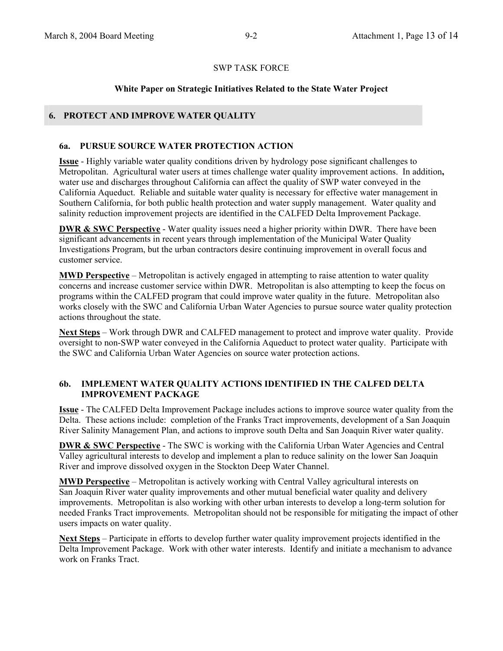#### **White Paper on Strategic Initiatives Related to the State Water Project**

## **6. PROTECT AND IMPROVE WATER QUALITY**

#### **6a. PURSUE SOURCE WATER PROTECTION ACTION**

**Issue** - Highly variable water quality conditions driven by hydrology pose significant challenges to Metropolitan. Agricultural water users at times challenge water quality improvement actions. In addition**,**  water use and discharges throughout California can affect the quality of SWP water conveyed in the California Aqueduct.Reliable and suitable water quality is necessary for effective water management in Southern California, for both public health protection and water supply management. Water quality and salinity reduction improvement projects are identified in the CALFED Delta Improvement Package.

**DWR & SWC Perspective** - Water quality issues need a higher priority within DWR. There have been significant advancements in recent years through implementation of the Municipal Water Quality Investigations Program, but the urban contractors desire continuing improvement in overall focus and customer service.

**MWD Perspective** – Metropolitan is actively engaged in attempting to raise attention to water quality concerns and increase customer service within DWR. Metropolitan is also attempting to keep the focus on programs within the CALFED program that could improve water quality in the future. Metropolitan also works closely with the SWC and California Urban Water Agencies to pursue source water quality protection actions throughout the state.

**Next Steps** – Work through DWR and CALFED management to protect and improve water quality. Provide oversight to non-SWP water conveyed in the California Aqueduct to protect water quality. Participate with the SWC and California Urban Water Agencies on source water protection actions.

## **6b. IMPLEMENT WATER QUALITY ACTIONS IDENTIFIED IN THE CALFED DELTA IMPROVEMENT PACKAGE**

**Issue** - The CALFED Delta Improvement Package includes actions to improve source water quality from the Delta. These actions include: completion of the Franks Tract improvements, development of a San Joaquin River Salinity Management Plan, and actions to improve south Delta and San Joaquin River water quality.

**DWR & SWC Perspective** - The SWC is working with the California Urban Water Agencies and Central Valley agricultural interests to develop and implement a plan to reduce salinity on the lower San Joaquin River and improve dissolved oxygen in the Stockton Deep Water Channel.

**MWD Perspective** – Metropolitan is actively working with Central Valley agricultural interests on San Joaquin River water quality improvements and other mutual beneficial water quality and delivery improvements. Metropolitan is also working with other urban interests to develop a long-term solution for needed Franks Tract improvements. Metropolitan should not be responsible for mitigating the impact of other users impacts on water quality.

**Next Steps** – Participate in efforts to develop further water quality improvement projects identified in the Delta Improvement Package. Work with other water interests. Identify and initiate a mechanism to advance work on Franks Tract.